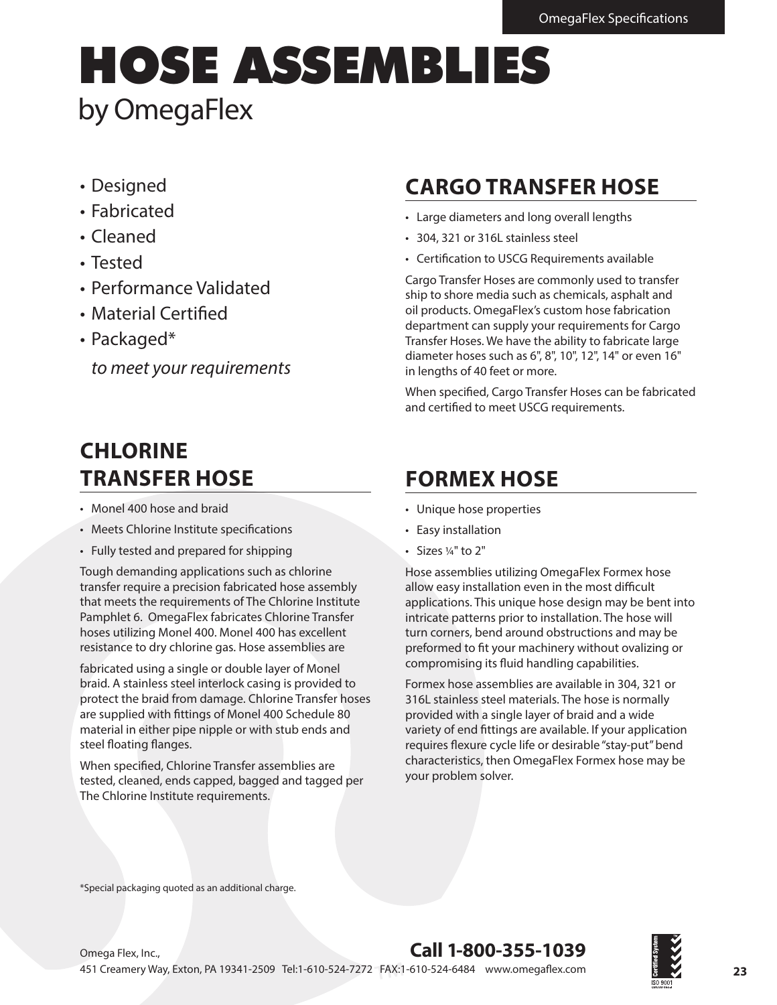# HOSE ASSEMBLIES by OmegaFlex

- Designed
- Fabricated
- Cleaned
- Tested
- Performance Validated
- Material Certifed
- Packaged\*

*to meet your requirements*

# **CARGO TRANSFER HOSE**

- Large diameters and long overall lengths
- 304, 321 or 316L stainless steel
- Certifcation to USCG Requirements available

Cargo Transfer Hoses are commonly used to transfer ship to shore media such as chemicals, asphalt and oil products. OmegaFlex's custom hose fabrication department can supply your requirements for Cargo Transfer Hoses. We have the ability to fabricate large diameter hoses such as 6", 8", 10", 12", 14" or even 16" in lengths of 40 feet or more.

When specifed, Cargo Transfer Hoses can be fabricated and certifed to meet USCG requirements.

## **CHLORINE TRANSFER HOSE**

- Monel 400 hose and braid
- Meets Chlorine Institute specifcations
- Fully tested and prepared for shipping

Tough demanding applications such as chlorine transfer require a precision fabricated hose assembly that meets the requirements of The Chlorine Institute Pamphlet 6. OmegaFlex fabricates Chlorine Transfer hoses utilizing Monel 400. Monel 400 has excellent resistance to dry chlorine gas. Hose assemblies are

fabricated using a single or double layer of Monel braid. A stainless steel interlock casing is provided to protect the braid from damage. Chlorine Transfer hoses are supplied with fttings of Monel 400 Schedule 80 material in either pipe nipple or with stub ends and steel foating fanges.

When specifed, Chlorine Transfer assemblies are tested, cleaned, ends capped, bagged and tagged per The Chlorine Institute requirements.

# **FORMEX HOSE**

- Unique hose properties
- Easy installation
- Sizes ¼" to 2"

Hose assemblies utilizing OmegaFlex Formex hose allow easy installation even in the most difficult applications. This unique hose design may be bent into intricate patterns prior to installation. The hose will turn corners, bend around obstructions and may be preformed to ft your machinery without ovalizing or compromising its fuid handling capabilities.

Formex hose assemblies are available in 304, 321 or 316L stainless steel materials. The hose is normally provided with a single layer of braid and a wide variety of end fttings are available. If your application requires fexure cycle life or desirable "stay-put" bend characteristics, then OmegaFlex Formex hose may be your problem solver.

\*Special packaging quoted as an additional charge.